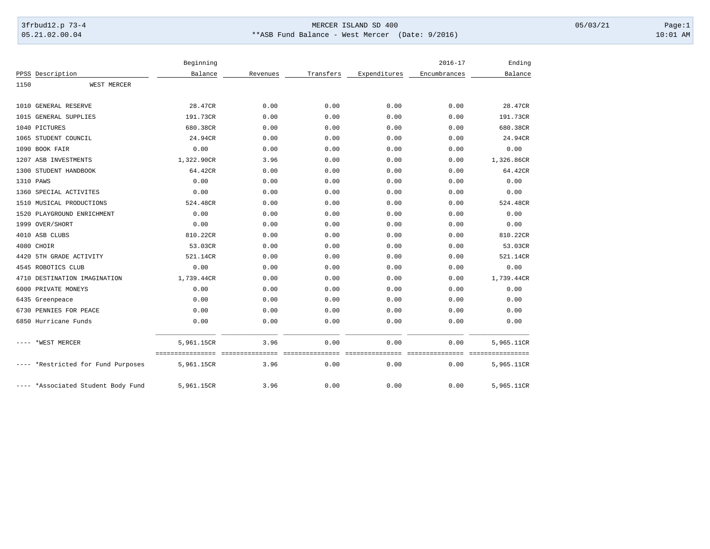## 3frbud12.p 73-4 Page:1 Page:1 05.21.02.00.04 \*\*ASB Fund Balance - West Mercer (Date: 9/2016) 10:01 AM

|      |                                    | Beginning  |          |           |              | $2016 - 17$  | Ending     |
|------|------------------------------------|------------|----------|-----------|--------------|--------------|------------|
|      | PPSS Description                   | Balance    | Revenues | Transfers | Expenditures | Encumbrances | Balance    |
| 1150 | WEST MERCER                        |            |          |           |              |              |            |
|      | 1010 GENERAL RESERVE               | 28.47CR    | 0.00     | 0.00      | 0.00         | 0.00         | 28.47CR    |
|      | 1015 GENERAL SUPPLIES              | 191.73CR   | 0.00     | 0.00      | 0.00         | 0.00         | 191.73CR   |
|      | 1040 PICTURES                      | 680.38CR   | 0.00     | 0.00      | 0.00         | 0.00         | 680.38CR   |
|      | 1065 STUDENT COUNCIL               | 24.94CR    | 0.00     | 0.00      | 0.00         | 0.00         | 24.94CR    |
|      | 1090 BOOK FAIR                     | 0.00       | 0.00     | 0.00      | 0.00         | 0.00         | 0.00       |
|      | 1207 ASB INVESTMENTS               | 1,322.90CR | 3.96     | 0.00      | 0.00         | 0.00         | 1,326.86CR |
|      | 1300 STUDENT HANDBOOK              | 64.42CR    | 0.00     | 0.00      | 0.00         | 0.00         | 64.42CR    |
|      | 1310 PAWS                          | 0.00       | 0.00     | 0.00      | 0.00         | 0.00         | 0.00       |
|      | 1360 SPECIAL ACTIVITES             | 0.00       | 0.00     | 0.00      | 0.00         | 0.00         | 0.00       |
|      | 1510 MUSICAL PRODUCTIONS           | 524.48CR   | 0.00     | 0.00      | 0.00         | 0.00         | 524.48CR   |
|      | 1520 PLAYGROUND ENRICHMENT         | 0.00       | 0.00     | 0.00      | 0.00         | 0.00         | 0.00       |
|      | 1999 OVER/SHORT                    | 0.00       | 0.00     | 0.00      | 0.00         | 0.00         | 0.00       |
|      | 4010 ASB CLUBS                     | 810.22CR   | 0.00     | 0.00      | 0.00         | 0.00         | 810.22CR   |
|      | 4080 CHOIR                         | 53.03CR    | 0.00     | 0.00      | 0.00         | 0.00         | 53.03CR    |
| 4420 | 5TH GRADE ACTIVITY                 | 521.14CR   | 0.00     | 0.00      | 0.00         | 0.00         | 521.14CR   |
|      | 4545 ROBOTICS CLUB                 | 0.00       | 0.00     | 0.00      | 0.00         | 0.00         | 0.00       |
|      | 4710 DESTINATION IMAGINATION       | 1,739.44CR | 0.00     | 0.00      | 0.00         | 0.00         | 1,739.44CR |
| 6000 | PRIVATE MONEYS                     | 0.00       | 0.00     | 0.00      | 0.00         | 0.00         | 0.00       |
|      | 6435 Greenpeace                    | 0.00       | 0.00     | 0.00      | 0.00         | 0.00         | 0.00       |
| 6730 | PENNIES FOR PEACE                  | 0.00       | 0.00     | 0.00      | 0.00         | 0.00         | 0.00       |
|      | 6850 Hurricane Funds               | 0.00       | 0.00     | 0.00      | 0.00         | 0.00         | 0.00       |
|      | *WEST MERCER                       | 5,961.15CR | 3.96     | 0.00      | 0.00         | 0.00         | 5,965.11CR |
|      | *Restricted for Fund Purposes      | 5,961.15CR | 3.96     | 0.00      | 0.00         | 0.00         | 5,965.11CR |
|      | ---- *Associated Student Body Fund | 5,961.15CR | 3.96     | 0.00      | 0.00         | 0.00         | 5,965.11CR |